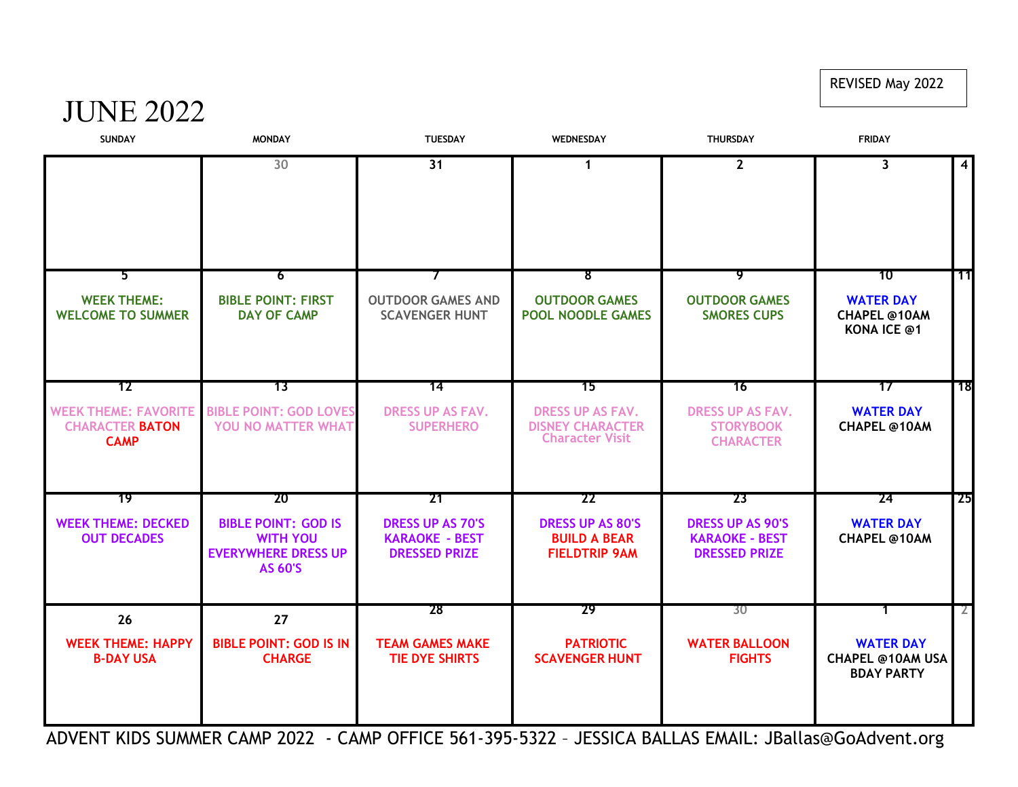## REVISED May 2022

## JUNE 2022

| <b>SUNDAY</b>                                                        | <b>MONDAY</b>                                                                                 | <b>TUESDAY</b>                                                           | WEDNESDAY                                                                    | <b>THURSDAY</b>                                                          | <b>FRIDAY</b>                                                       |                         |
|----------------------------------------------------------------------|-----------------------------------------------------------------------------------------------|--------------------------------------------------------------------------|------------------------------------------------------------------------------|--------------------------------------------------------------------------|---------------------------------------------------------------------|-------------------------|
|                                                                      | 30                                                                                            | 31                                                                       | $\mathbf{1}$                                                                 | $2^{\circ}$                                                              | $\overline{\mathbf{3}}$                                             | $\overline{\mathbf{4}}$ |
| 5<br><b>WEEK THEME:</b><br><b>WELCOME TO SUMMER</b>                  | 6<br><b>BIBLE POINT: FIRST</b><br><b>DAY OF CAMP</b>                                          | 7<br><b>OUTDOOR GAMES AND</b><br><b>SCAVENGER HUNT</b>                   | 8<br><b>OUTDOOR GAMES</b><br><b>POOL NOODLE GAMES</b>                        | ᠀<br><b>OUTDOOR GAMES</b><br><b>SMORES CUPS</b>                          | 10<br><b>WATER DAY</b><br><b>CHAPEL @10AM</b><br><b>KONA ICE @1</b> | -11                     |
| 12                                                                   | 73                                                                                            | 14                                                                       | 15                                                                           | 76                                                                       | 17                                                                  | ้ 18                    |
| <b>WEEK THEME: FAVORITE</b><br><b>CHARACTER BATON</b><br><b>CAMP</b> | <b>BIBLE POINT: GOD LOVES</b><br>YOU NO MATTER WHAT                                           | <b>DRESS UP AS FAV.</b><br><b>SUPERHERO</b>                              | <b>DRESS UP AS FAV.</b><br><b>DISNEY CHARACTER</b><br><b>Character Visit</b> | <b>DRESS UP AS FAV.</b><br><b>STORYBOOK</b><br><b>CHARACTER</b>          | <b>WATER DAY</b><br><b>CHAPEL @10AM</b>                             |                         |
| 19                                                                   | -20                                                                                           | -21                                                                      | -22                                                                          | 23                                                                       | 24                                                                  | <b>25</b>               |
| <b>WEEK THEME: DECKED</b><br><b>OUT DECADES</b>                      | <b>BIBLE POINT: GOD IS</b><br><b>WITH YOU</b><br><b>EVERYWHERE DRESS UP</b><br><b>AS 60'S</b> | <b>DRESS UP AS 70'S</b><br><b>KARAOKE - BEST</b><br><b>DRESSED PRIZE</b> | <b>DRESS UP AS 80'S</b><br><b>BUILD A BEAR</b><br><b>FIELDTRIP 9AM</b>       | <b>DRESS UP AS 90'S</b><br><b>KARAOKE - BEST</b><br><b>DRESSED PRIZE</b> | <b>WATER DAY</b><br><b>CHAPEL @10AM</b>                             |                         |
| 26                                                                   | 27                                                                                            | 28                                                                       | 29                                                                           | 30                                                                       |                                                                     | 2.                      |
| <b>WEEK THEME: HAPPY</b><br><b>B-DAY USA</b>                         | <b>BIBLE POINT: GOD IS IN</b><br><b>CHARGE</b>                                                | <b>TEAM GAMES MAKE</b><br><b>TIE DYE SHIRTS</b>                          | <b>PATRIOTIC</b><br><b>SCAVENGER HUNT</b>                                    | <b>WATER BALLOON</b><br><b>FIGHTS</b>                                    | <b>WATER DAY</b><br><b>CHAPEL @10AM USA</b><br><b>BDAY PARTY</b>    |                         |

ADVENT KIDS SUMMER CAMP 2022 - CAMP OFFICE 561-395-5322 – JESSICA BALLAS EMAIL: JBallas@GoAdvent.org